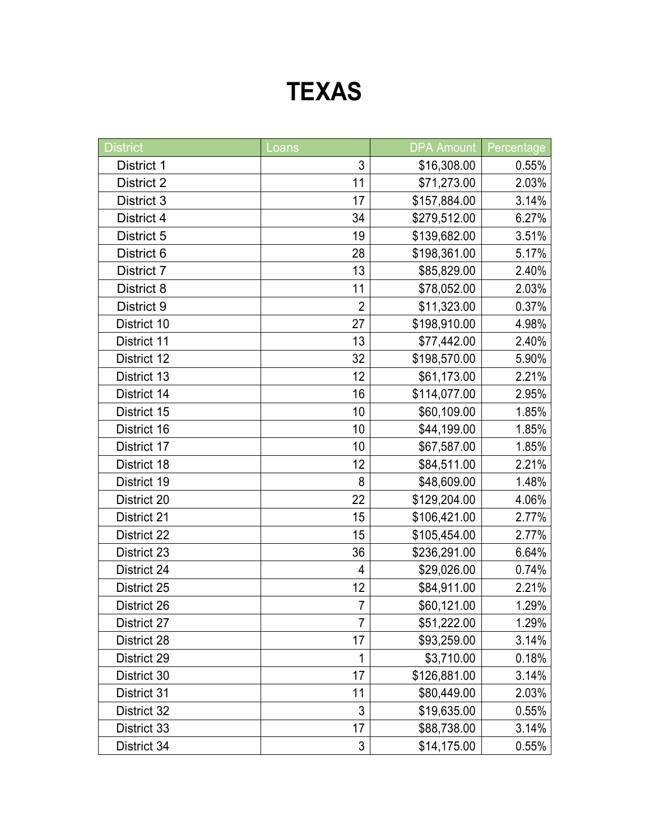## **TEXAS**

| <b>District</b>   | Loans          | <b>DPA Amount</b> | Percentage |
|-------------------|----------------|-------------------|------------|
| District 1        | 3              | \$16,308.00       | 0.55%      |
| <b>District 2</b> | 11             | \$71,273.00       | 2.03%      |
| District 3        | 17             | \$157,884.00      | 3.14%      |
| District 4        | 34             | \$279,512.00      | 6.27%      |
| District 5        | 19             | \$139,682.00      | 3.51%      |
| District 6        | 28             | \$198,361.00      | 5.17%      |
| District 7        | 13             | \$85,829.00       | 2.40%      |
| District 8        | 11             | \$78,052.00       | 2.03%      |
| District 9        | $\overline{2}$ | \$11,323.00       | 0.37%      |
| District 10       | 27             | \$198,910.00      | 4.98%      |
| District 11       | 13             | \$77,442.00       | 2.40%      |
| District 12       | 32             | \$198,570.00      | 5.90%      |
| District 13       | 12             | \$61,173.00       | 2.21%      |
| District 14       | 16             | \$114,077.00      | 2.95%      |
| District 15       | 10             | \$60,109.00       | 1.85%      |
| District 16       | 10             | \$44,199.00       | 1.85%      |
| District 17       | 10             | \$67,587.00       | 1.85%      |
| District 18       | 12             | \$84,511.00       | 2.21%      |
| District 19       | 8              | \$48,609.00       | 1.48%      |
| District 20       | 22             | \$129,204.00      | 4.06%      |
| District 21       | 15             | \$106,421.00      | 2.77%      |
| District 22       | 15             | \$105,454.00      | 2.77%      |
| District 23       | 36             | \$236,291.00      | 6.64%      |
| District 24       | 4              | \$29,026.00       | 0.74%      |
| District 25       | 12             | \$84,911.00       | 2.21%      |
| District 26       | $\overline{7}$ | \$60,121.00       | 1.29%      |
| District 27       | 7              | \$51,222.00       | 1.29%      |
| District 28       | 17             | \$93,259.00       | 3.14%      |
| District 29       | 1              | \$3,710.00        | 0.18%      |
| District 30       | 17             | \$126,881.00      | 3.14%      |
| District 31       | 11             | \$80,449.00       | 2.03%      |
| District 32       | 3              | \$19,635.00       | 0.55%      |
| District 33       | 17             | \$88,738.00       | 3.14%      |
| District 34       | 3              | \$14,175.00       | 0.55%      |